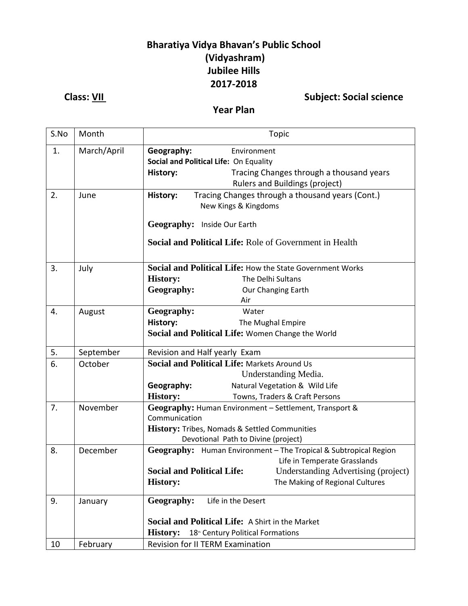## **Bharatiya Vidya Bhavan's Public School (Vidyashram) Jubilee Hills 2017-2018**

## **Class:** <u>VII</u> Class: **VII** Subject: Social science

### **Year Plan**

| S.No | Month       | <b>Topic</b>                                                                                            |  |  |
|------|-------------|---------------------------------------------------------------------------------------------------------|--|--|
| 1.   | March/April | Geography:<br>Environment                                                                               |  |  |
|      |             | Social and Political Life: On Equality                                                                  |  |  |
|      |             | Tracing Changes through a thousand years<br>History:                                                    |  |  |
|      |             | Rulers and Buildings (project)                                                                          |  |  |
| 2.   | June        | Tracing Changes through a thousand years (Cont.)<br>History:                                            |  |  |
|      |             | New Kings & Kingdoms                                                                                    |  |  |
|      |             | Geography: Inside Our Earth                                                                             |  |  |
|      |             |                                                                                                         |  |  |
|      |             | Social and Political Life: Role of Government in Health                                                 |  |  |
| 3.   | July        | Social and Political Life: How the State Government Works                                               |  |  |
|      |             | <b>History:</b><br>The Delhi Sultans                                                                    |  |  |
|      |             | Geography:<br>Our Changing Earth                                                                        |  |  |
|      |             | Air                                                                                                     |  |  |
| 4.   | August      | Geography:<br>Water                                                                                     |  |  |
|      |             | History:<br>The Mughal Empire                                                                           |  |  |
|      |             | Social and Political Life: Women Change the World                                                       |  |  |
| 5.   | September   | Revision and Half yearly Exam                                                                           |  |  |
| 6.   | October     | Social and Political Life: Markets Around Us                                                            |  |  |
|      |             | Understanding Media.                                                                                    |  |  |
|      |             | Natural Vegetation & Wild Life<br>Geography:                                                            |  |  |
|      |             | <b>History:</b><br>Towns, Traders & Craft Persons                                                       |  |  |
| 7.   | November    | Geography: Human Environment - Settlement, Transport &                                                  |  |  |
|      |             | Communication                                                                                           |  |  |
|      |             | <b>History: Tribes, Nomads &amp; Settled Communities</b>                                                |  |  |
| 8.   | December    | Devotional Path to Divine (project)<br>Geography: Human Environment - The Tropical & Subtropical Region |  |  |
|      |             | Life in Temperate Grasslands                                                                            |  |  |
|      |             | <b>Social and Political Life:</b><br>Understanding Advertising (project)                                |  |  |
|      |             | <b>History:</b><br>The Making of Regional Cultures                                                      |  |  |
|      |             |                                                                                                         |  |  |
| 9.   | January     | Geography:<br>Life in the Desert                                                                        |  |  |
|      |             | Social and Political Life: A Shirt in the Market                                                        |  |  |
|      |             | <b>History:</b><br>18 <sup>th</sup> Century Political Formations                                        |  |  |
| 10   | February    | <b>Revision for II TERM Examination</b>                                                                 |  |  |
|      |             |                                                                                                         |  |  |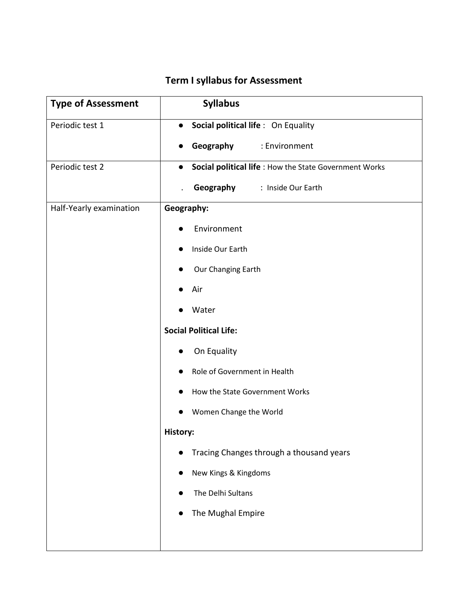## **Term I syllabus for Assessment**

| <b>Type of Assessment</b> | <b>Syllabus</b>                                        |  |  |
|---------------------------|--------------------------------------------------------|--|--|
| Periodic test 1           | Social political life : On Equality<br>$\bullet$       |  |  |
|                           | Geography<br>: Environment<br>$\bullet$                |  |  |
| Periodic test 2           | Social political life : How the State Government Works |  |  |
|                           | Geography<br>: Inside Our Earth                        |  |  |
| Half-Yearly examination   | Geography:                                             |  |  |
|                           | Environment                                            |  |  |
|                           | Inside Our Earth                                       |  |  |
|                           | Our Changing Earth                                     |  |  |
|                           | Air                                                    |  |  |
|                           | Water                                                  |  |  |
|                           | <b>Social Political Life:</b>                          |  |  |
|                           | On Equality                                            |  |  |
|                           | Role of Government in Health                           |  |  |
|                           | How the State Government Works                         |  |  |
|                           | Women Change the World                                 |  |  |
|                           | History:                                               |  |  |
|                           | Tracing Changes through a thousand years               |  |  |
|                           | New Kings & Kingdoms                                   |  |  |
|                           | The Delhi Sultans                                      |  |  |
|                           | The Mughal Empire                                      |  |  |
|                           |                                                        |  |  |
|                           |                                                        |  |  |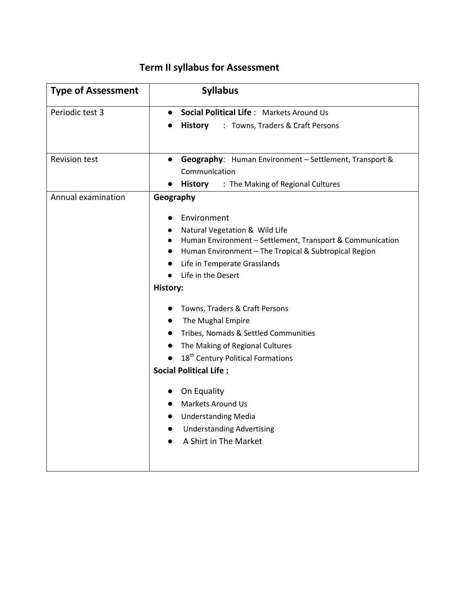# **Term II syllabus for Assessment**

| <b>Type of Assessment</b> | <b>Syllabus</b>                                                        |  |
|---------------------------|------------------------------------------------------------------------|--|
| Periodic test 3           | Social Political Life: Markets Around Us<br>$\bullet$                  |  |
|                           | <b>History</b><br>: Towns, Traders & Craft Persons                     |  |
|                           |                                                                        |  |
| <b>Revision test</b>      | • Geography: Human Environment - Settlement, Transport &               |  |
|                           | Communication                                                          |  |
|                           | <b>History</b> : The Making of Regional Cultures                       |  |
| Annual examination        | Geography                                                              |  |
|                           | Environment                                                            |  |
|                           | Natural Vegetation & Wild Life<br>$\bullet$                            |  |
|                           | Human Environment - Settlement, Transport & Communication<br>$\bullet$ |  |
|                           | Human Environment - The Tropical & Subtropical Region<br>$\bullet$     |  |
|                           | Life in Temperate Grasslands                                           |  |
|                           | Life in the Desert                                                     |  |
|                           | History:                                                               |  |
|                           | Towns, Traders & Craft Persons                                         |  |
|                           | The Mughal Empire<br>$\bullet$                                         |  |
|                           | Tribes, Nomads & Settled Communities                                   |  |
|                           | The Making of Regional Cultures<br>$\bullet$                           |  |
|                           | 18 <sup>th</sup> Century Political Formations                          |  |
|                           | <b>Social Political Life:</b>                                          |  |
|                           | On Equality                                                            |  |
|                           | <b>Markets Around Us</b><br>$\bullet$                                  |  |
|                           | <b>Understanding Media</b><br>$\bullet$                                |  |
|                           | <b>Understanding Advertising</b><br>$\bullet$                          |  |
|                           | A Shirt in The Market                                                  |  |
|                           |                                                                        |  |